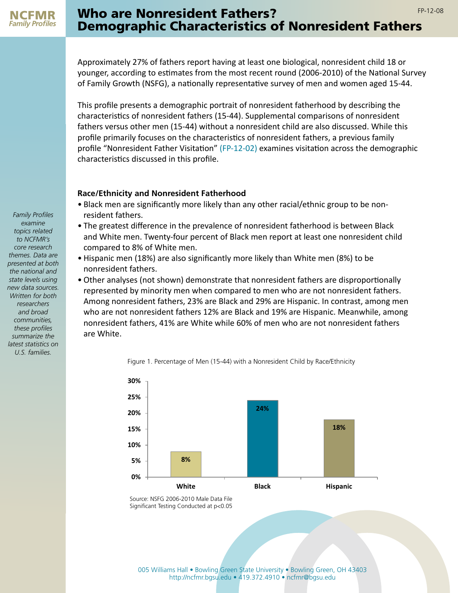

## Who are Nonresident Fathers? The Contract of the Research of the Research of the Research of the Research of the Research of the Research of the Research of the Research of the Research of the Research of the Research of t Demographic Characteristics of Nonresident Fathers

Approximately 27% of fathers report having at least one biological, nonresident child 18 or younger, according to estimates from the most recent round (2006-2010) of the National Survey of Family Growth (NSFG), a nationally representative survey of men and women aged 15-44.

This profile presents a demographic portrait of nonresident fatherhood by describing the characteristics of nonresident fathers (15-44). Supplemental comparisons of nonresident fathers versus other men (15-44) without a nonresident child are also discussed. While this profile primarily focuses on the characteristics of nonresident fathers, a previous family profile "Nonresident Father Visitation" [\(FP-12-02\)](http://ncfmr.bgsu.edu/pdf/family_profiles/file106987.pdf) examines visitation across the demographic characteristics discussed in this profile.

## **Race/Ethnicity and Nonresident Fatherhood**

- Black men are significantly more likely than any other racial/ethnic group to be nonresident fathers.
- The greatest difference in the prevalence of nonresident fatherhood is between Black and White men. Twenty-four percent of Black men report at least one nonresident child compared to 8% of White men.
- Hispanic men (18%) are also significantly more likely than White men (8%) to be nonresident fathers.
- Other analyses (not shown) demonstrate that nonresident fathers are disproportionally represented by minority men when compared to men who are not nonresident fathers. Among nonresident fathers, 23% are Black and 29% are Hispanic. In contrast, among men who are not nonresident fathers 12% are Black and 19% are Hispanic. Meanwhile, among nonresident fathers, 41% are White while 60% of men who are not nonresident fathers are White.





Source: NSFG 2006-2010 Male Data File Significant Testing Conducted at p<0.05

*Family Profiles examine topics related to NCFMR's core research themes. Data are presented at both the national and state levels using new data sources. Written for both researchers and broad communities, these profiles summarize the latest statistics on U.S. families.*

[005 Williams Hall • Bowling Green State University • Bowling Green, OH 43403](http://ncfmr.bgsu.edu/page80987.html) [http://ncfmr.bgsu.edu • 419.372.4910 • ncfmr@bgsu.edu](http://ncfmr.bgsu.edu/page80987.html)